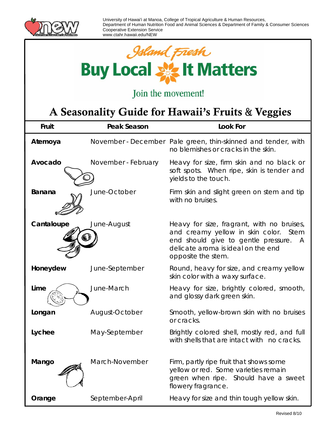



## Join the movement!

## A Seasonality Guide for Hawaii's Fruits & Veggies

| Fruit         | <b>Peak Season</b>  | Look For                                                                                                                                                                                    |
|---------------|---------------------|---------------------------------------------------------------------------------------------------------------------------------------------------------------------------------------------|
| Atemoya       |                     | November - December Pale green, thin-skinned and tender, with<br>no blemishes or cracks in the skin.                                                                                        |
| Avocado       | November - February | Heavy for size, firm skin and no black or<br>soft spots. When ripe, skin is tender and<br>yields to the touch.                                                                              |
| <b>Banana</b> | June-October        | Firm skin and slight green on stem and tip<br>with no bruises.                                                                                                                              |
| Cantaloupe    | June-August         | Heavy for size, fragrant, with no bruises,<br>and creamy yellow in skin color. Stem<br>end should give to gentle pressure.<br>A<br>delicate aroma is ideal on the end<br>opposite the stem. |
| Honeydew      | June-September      | Round, heavy for size, and creamy yellow<br>skin color with a waxy surface.                                                                                                                 |
| Lime          | June-March          | Heavy for size, brightly colored, smooth,<br>and glossy dark green skin.                                                                                                                    |
| Longan        | August-October      | Smooth, yellow-brown skin with no bruises<br>or cracks.                                                                                                                                     |
| Lychee        | May-September       | Brightly colored shell, mostly red, and full<br>with shells that are intact with no cracks.                                                                                                 |
| Mango         | March-November      | Firm, partly ripe fruit that shows some<br>yellow or red. Some varieties remain<br>green when ripe. Should have a sweet<br>flowery fragrance.                                               |
| Orange        | September-April     | Heavy for size and thin tough yellow skin.                                                                                                                                                  |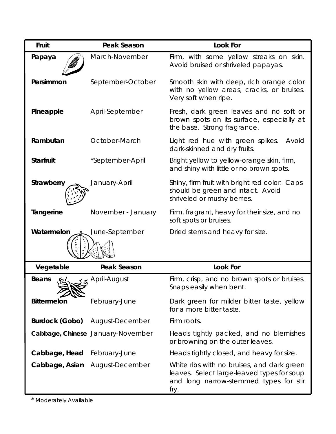| Fruit                   | <b>Peak Season</b>                | <b>Look For</b>                                                                                                                            |
|-------------------------|-----------------------------------|--------------------------------------------------------------------------------------------------------------------------------------------|
| Papaya                  | March-November                    | Firm, with some yellow streaks on skin.<br>Avoid bruised or shriveled papayas.                                                             |
| Persimmon               | September-October                 | Smooth skin with deep, rich orange color<br>with no yellow areas, cracks, or bruises.<br>Very soft when ripe.                              |
| Pineapple               | April-September                   | Fresh, dark green leaves and no soft or<br>brown spots on its surface, especially at<br>the base. Strong fragrance.                        |
| Rambutan                | October-March                     | Light red hue with green spikes.<br>Avoid<br>dark-skinned and dry fruits.                                                                  |
| <b>Starfruit</b>        | *September-April                  | Bright yellow to yellow-orange skin, firm,<br>and shiny with little or no brown spots.                                                     |
| <b>Strawberry</b>       | January-April                     | Shiny, firm fruit with bright red color. Caps<br>should be green and intact. Avoid<br>shriveled or mushy berries.                          |
| Tangerine               | November - January                | Firm, fragrant, heavy for their size, and no<br>soft spots or bruises.                                                                     |
| Watermelon              | June-September                    | Dried stems and heavy for size.                                                                                                            |
|                         |                                   |                                                                                                                                            |
| Vegetable               | <b>Peak Season</b>                | <b>Look For</b>                                                                                                                            |
| <b>Beans</b>            | န္ April-August                   | Firm, crisp, and no brown spots or bruises.<br>Snaps easily when bent.                                                                     |
| <b>Bittermelon</b>      | February-June                     | Dark green for milder bitter taste, yellow<br>for a more bitter taste.                                                                     |
| Burdock ( <i>Gobo</i> ) | August-December                   | Firm roots.                                                                                                                                |
|                         | Cabbage, Chinese January-November | Heads tightly packed, and no blemishes<br>or browning on the outer leaves.                                                                 |
| Cabbage, Head           | February-June                     | Heads tightly closed, and heavy for size.                                                                                                  |
| Cabbage, Asian          | August-December                   | White ribs with no bruises, and dark green<br>leaves. Select large-leaved types for soup<br>and long narrow-stemmed types for stir<br>fry. |

\* Moderately Available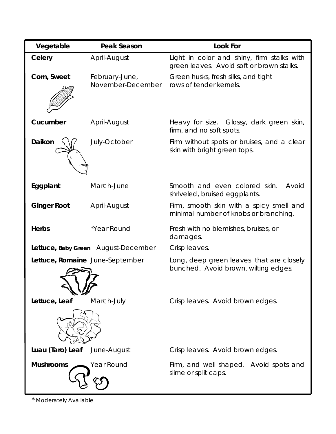| Vegetable          | Peak Season                         | <b>Look For</b>                                                                         |
|--------------------|-------------------------------------|-----------------------------------------------------------------------------------------|
| Celery             | April-August                        | Light in color and shiny, firm stalks with<br>green leaves. Avoid soft or brown stalks. |
| Corn, Sweet        | February-June,<br>November-December | Green husks, fresh silks, and tight<br>rows of tender kernels.                          |
| Cucumber           | April-August                        | Heavy for size. Glossy, dark green skin,<br>firm, and no soft spots.                    |
| Daikon             | July-October                        | Firm without spots or bruises, and a clear<br>skin with bright green tops.              |
| Eggplant           | March-June                          | Smooth and even colored skin.<br>Avoid<br>shriveled, bruised eggplants.                 |
| <b>Ginger Root</b> | April-August                        | Firm, smooth skin with a spicy smell and<br>minimal number of knobs or branching.       |
| <b>Herbs</b>       | *Year Round                         | Fresh with no blemishes, bruises, or<br>damages.                                        |
|                    | Lettuce, Baby Green August-December | Crisp leaves.                                                                           |
|                    | Lettuce, Romaine June-September     | Long, deep green leaves that are closely<br>bunched. Avoid brown, wilting edges.        |
| Lettuce, Leaf      | March-July                          | Crisp leaves. Avoid brown edges.                                                        |
| Luau (Taro) Leaf   | June-August                         | Crisp leaves. Avoid brown edges.                                                        |
| <b>Mushrooms</b>   | Year Round                          | Firm, and well shaped. Avoid spots and<br>slime or split caps.                          |

\* Moderately Available